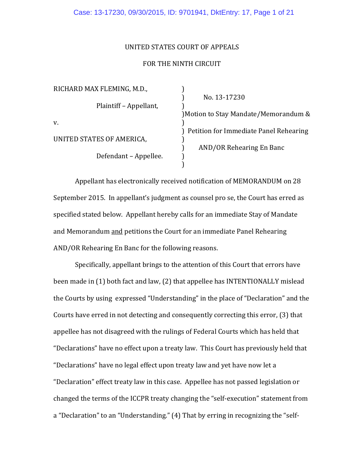### UNITED STATES COURT OF APPEALS

### FOR THE NINTH CIRCUIT

| RICHARD MAX FLEMING, M.D., |                                          |
|----------------------------|------------------------------------------|
|                            | No. 13-17230                             |
| Plaintiff - Appellant,     |                                          |
|                            | ) Motion to Stay Mandate/Memorandum &    |
| V.                         |                                          |
|                            | ) Petition for Immediate Panel Rehearing |
| UNITED STATES OF AMERICA,  |                                          |
|                            | AND/OR Rehearing En Banc                 |
| Defendant – Appellee.      |                                          |
|                            |                                          |

Appellant has electronically received notification of MEMORANDUM on 28 September 2015. In appellant's judgment as counsel pro se, the Court has erred as specified stated below. Appellant hereby calls for an immediate Stay of Mandate and Memorandum and petitions the Court for an immediate Panel Rehearing AND/OR Rehearing En Banc for the following reasons.

Specifically, appellant brings to the attention of this Court that errors have been made in (1) both fact and law, (2) that appellee has INTENTIONALLY mislead the Courts by using expressed "Understanding" in the place of "Declaration" and the Courts have erred in not detecting and consequently correcting this error, (3) that appellee has not disagreed with the rulings of Federal Courts which has held that "Declarations" have no effect upon a treaty law. This Court has previously held that "Declarations" have no legal effect upon treaty law and yet have now let a "Declaration" effect treaty law in this case. Appellee has not passed legislation or changed the terms of the ICCPR treaty changing the "self-execution" statement from a "Declaration" to an "Understanding." (4) That by erring in recognizing the "self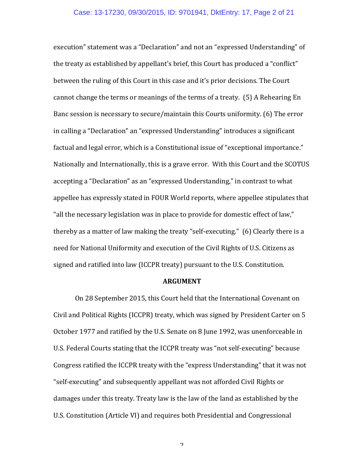execution" statement was a "Declaration" and not an "expressed Understanding" of the treaty as established by appellant's brief, this Court has produced a "conflict" between the ruling of this Court in this case and it's prior decisions. The Court cannot change the terms or meanings of the terms of a treaty. (5) A Rehearing En Banc session is necessary to secure/maintain this Courts uniformity. (6) The error in calling a "Declaration" an "expressed Understanding" introduces a significant factual and legal error, which is a Constitutional issue of "exceptional importance." Nationally and Internationally, this is a grave error. With this Court and the SCOTUS accepting a "Declaration" as an "expressed Understanding," in contrast to what appellee has expressly stated in FOUR World reports, where appellee stipulates that "all the necessary legislation was in place to provide for domestic effect of law," thereby as a matter of law making the treaty "self-executing."  $(6)$  Clearly there is a need for National Uniformity and execution of the Civil Rights of U.S. Citizens as signed and ratified into law (ICCPR treaty) pursuant to the U.S. Constitution.

#### **ARGUMENT**

On 28 September 2015, this Court held that the International Covenant on Civil and Political Rights (ICCPR) treaty, which was signed by President Carter on 5 October 1977 and ratified by the U.S. Senate on 8 June 1992, was unenforceable in U.S. Federal Courts stating that the ICCPR treaty was "not self-executing" because Congress ratified the ICCPR treaty with the "express Understanding" that it was not "self-executing" and subsequently appellant was not afforded Civil Rights or damages under this treaty. Treaty law is the law of the land as established by the U.S. Constitution (Article VI) and requires both Presidential and Congressional

 $\mathcal{L}$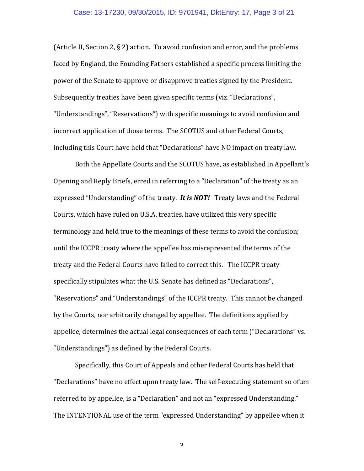(Article II, Section 2,  $\S$  2) action. To avoid confusion and error, and the problems faced by England, the Founding Fathers established a specific process limiting the power of the Senate to approve or disapprove treaties signed by the President. Subsequently treaties have been given specific terms (viz. "Declarations", "Understandings", "Reservations") with specific meanings to avoid confusion and incorrect application of those terms. The SCOTUS and other Federal Courts, including this Court have held that "Declarations" have NO impact on treaty law.

Both the Appellate Courts and the SCOTUS have, as established in Appellant's Opening and Reply Briefs, erred in referring to a "Declaration" of the treaty as an expressed "Understanding" of the treaty. It is **NOT!** Treaty laws and the Federal Courts, which have ruled on U.S.A. treaties, have utilized this very specific terminology and held true to the meanings of these terms to avoid the confusion; until the ICCPR treaty where the appellee has misrepresented the terms of the treaty and the Federal Courts have failed to correct this. The ICCPR treaty specifically stipulates what the U.S. Senate has defined as "Declarations", "Reservations" and "Understandings" of the ICCPR treaty. This cannot be changed by the Courts, nor arbitrarily changed by appellee. The definitions applied by appellee, determines the actual legal consequences of each term ("Declarations" vs. "Understandings") as defined by the Federal Courts.

Specifically, this Court of Appeals and other Federal Courts has held that "Declarations" have no effect upon treaty law. The self-executing statement so often referred to by appellee, is a "Declaration" and not an "expressed Understanding." The INTENTIONAL use of the term "expressed Understanding" by appellee when it

 $\mathbf{c}$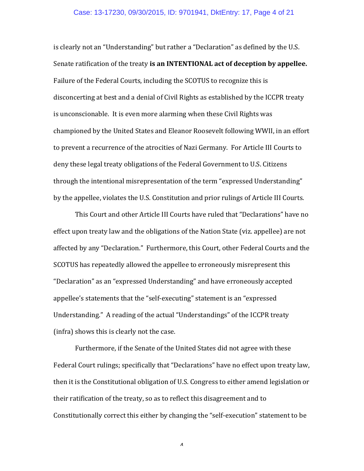#### Case: 13-17230, 09/30/2015, ID: 9701941, DktEntry: 17, Page 4 of 21

is clearly not an "Understanding" but rather a "Declaration" as defined by the U.S. Senate ratification of the treaty is an INTENTIONAL act of deception by appellee. Failure of the Federal Courts, including the SCOTUS to recognize this is disconcerting at best and a denial of Civil Rights as established by the ICCPR treaty is unconscionable. It is even more alarming when these Civil Rights was championed by the United States and Eleanor Roosevelt following WWII, in an effort to prevent a recurrence of the atrocities of Nazi Germany. For Article III Courts to deny these legal treaty obligations of the Federal Government to U.S. Citizens through the intentional misrepresentation of the term "expressed Understanding" by the appellee, violates the U.S. Constitution and prior rulings of Article III Courts.

This Court and other Article III Courts have ruled that "Declarations" have no effect upon treaty law and the obligations of the Nation State (viz. appellee) are not affected by any "Declaration." Furthermore, this Court, other Federal Courts and the SCOTUS has repeatedly allowed the appellee to erroneously misrepresent this "Declaration" as an "expressed Understanding" and have erroneously accepted appellee's statements that the "self-executing" statement is an "expressed Understanding." A reading of the actual "Understandings" of the ICCPR treaty (infra) shows this is clearly not the case.

Furthermore, if the Senate of the United States did not agree with these Federal Court rulings; specifically that "Declarations" have no effect upon treaty law, then it is the Constitutional obligation of U.S. Congress to either amend legislation or their ratification of the treaty, so as to reflect this disagreement and to Constitutionally correct this either by changing the "self-execution" statement to be

 $\lambda$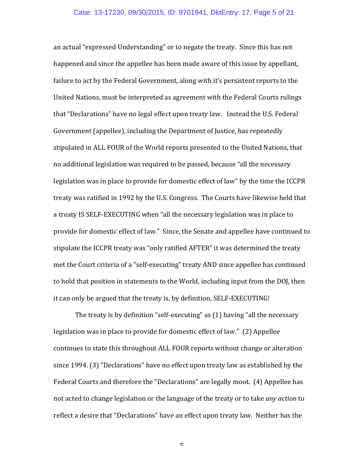an actual "expressed Understanding" or to negate the treaty. Since this has not happened and since the appellee has been made aware of this issue by appellant, failure to act by the Federal Government, along with it's persistent reports to the United Nations, must be interpreted as agreement with the Federal Courts rulings that "Declarations" have no legal effect upon treaty law. Instead the U.S. Federal Government (appellee), including the Department of Justice, has repeatedly stipulated in ALL FOUR of the World reports presented to the United Nations, that no additional legislation was required to be passed, because "all the necessary legislation was in place to provide for domestic effect of law" by the time the ICCPR treaty was ratified in 1992 by the U.S. Congress. The Courts have likewise held that a treaty IS SELF-EXECUTING when "all the necessary legislation was in place to provide for domestic effect of law." Since, the Senate and appellee have continued to stipulate the ICCPR treaty was "only ratified AFTER" it was determined the treaty met the Court criteria of a "self-executing" treaty AND since appellee has continued to hold that position in statements to the World, including input from the DOJ, then it can only be argued that the treaty is, by definition, SELF-EXECUTING!

The treaty is by definition "self-executing" as  $(1)$  having "all the necessary legislation was in place to provide for domestic effect of law." (2) Appellee continues to state this throughout ALL FOUR reports without change or alteration since 1994. (3) "Declarations" have no effect upon treaty law as established by the Federal Courts and therefore the "Declarations" are legally moot. (4) Appellee has not acted to change legislation or the language of the treaty or to take *any action* to reflect a desire that "Declarations" have an effect upon treaty law. Neither has the

 $\mathbf{r}$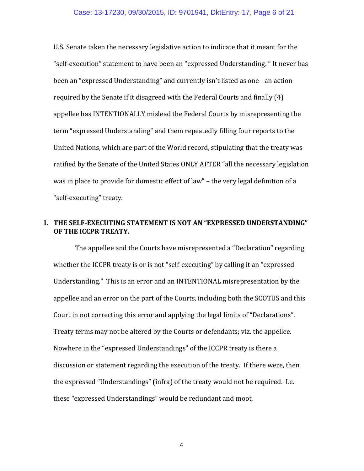U.S. Senate taken the necessary legislative action to indicate that it meant for the "self-execution" statement to have been an "expressed Understanding." It never has been an "expressed Understanding" and currently isn't listed as one - an action required by the Senate if it disagreed with the Federal Courts and finally (4) appellee has INTENTIONALLY mislead the Federal Courts by misrepresenting the term "expressed Understanding" and them repeatedly filling four reports to the United Nations, which are part of the World record, stipulating that the treaty was ratified by the Senate of the United States ONLY AFTER "all the necessary legislation was in place to provide for domestic effect of law" – the very legal definition of a "self-executing" treaty.

## **I. THE SELF-EXECUTING STATEMENT IS NOT AN "EXPRESSED UNDERSTANDING" OF THE ICCPR TREATY.**

The appellee and the Courts have misrepresented a "Declaration" regarding whether the ICCPR treaty is or is not "self-executing" by calling it an "expressed Understanding." This is an error and an INTENTIONAL misrepresentation by the appellee and an error on the part of the Courts, including both the SCOTUS and this Court in not correcting this error and applying the legal limits of "Declarations". Treaty terms may not be altered by the Courts or defendants; viz. the appellee. Nowhere in the "expressed Understandings" of the ICCPR treaty is there a discussion or statement regarding the execution of the treaty. If there were, then the expressed "Understandings" (infra) of the treaty would not be required. I.e. these "expressed Understandings" would be redundant and moot.

 $\boldsymbol{\mathsf{c}}$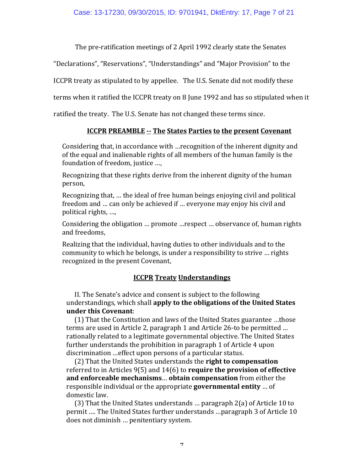The pre-ratification meetings of 2 April 1992 clearly state the Senates

"Declarations", "Reservations", "Understandings" and "Major Provision" to the

ICCPR treaty as stipulated to by appellee. The U.S. Senate did not modify these

terms when it ratified the ICCPR treaty on 8 June 1992 and has so stipulated when it

ratified the treaty. The U.S. Senate has not changed these terms since.

# **ICCPR PREAMBLE -- The States Parties to the present Covenant**

Considering that, in accordance with …recognition of the inherent dignity and of the equal and inalienable rights of all members of the human family is the foundation of freedom, justice ...,

Recognizing that these rights derive from the inherent dignity of the human person,

Recognizing that, ... the ideal of free human beings enjoying civil and political freedom and … can only be achieved if … everyone may enjoy his civil and political rights, ...,

Considering the obligation ... promote ... respect ... observance of, human rights and freedoms,

Realizing that the individual, having duties to other individuals and to the community to which he belongs, is under a responsibility to strive ... rights recognized in the present Covenant,

# **ICCPR Treaty Understandings**

II. The Senate's advice and consent is subject to the following understandings, which shall **apply to the obligations of the United States under this Covenant**:

(1) That the Constitution and laws of the United States guarantee ...those terms are used in Article 2, paragraph 1 and Article 26-to be permitted ... rationally related to a legitimate governmental objective. The United States further understands the prohibition in paragraph 1 of Article 4 upon discrimination ...effect upon persons of a particular status.

(2) That the United States understands the **right to compensation** referred to in Articles  $9(5)$  and  $14(6)$  to **require the provision of effective** and enforceable mechanisms... obtain compensation from either the responsible individual or the appropriate **governmental entity** ... of domestic law.

(3) That the United States understands ... paragraph  $2(a)$  of Article 10 to permit .... The United States further understands ...paragraph 3 of Article 10 does not diminish ... penitentiary system.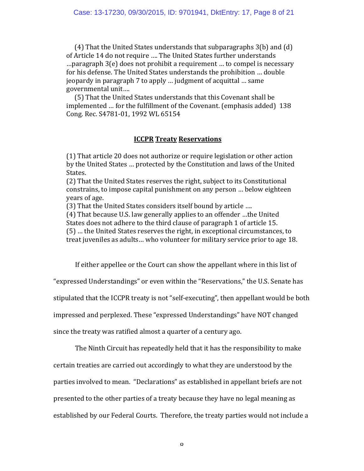$(4)$  That the United States understands that subparagraphs  $3(b)$  and  $(d)$ of Article 14 do not require .... The United States further understands .... paragraph  $3(e)$  does not prohibit a requirement ... to compel is necessary for his defense. The United States understands the prohibition ... double jeopardy in paragraph 7 to apply ... judgment of acquittal ... same governmental unit....

(5) That the United States understands that this Covenant shall be implemented ... for the fulfillment of the Covenant. (emphasis added) 138 Cong. Rec. S4781-01, 1992 WL 65154

### **ICCPR Treaty Reservations**

(1) That article 20 does not authorize or require legislation or other action by the United States ... protected by the Constitution and laws of the United States.

(2) That the United States reserves the right, subject to its Constitutional constrains, to impose capital punishment on any person ... below eighteen years of age. 

(3) That the United States considers itself bound by article ....

(4) That because U.S. law generally applies to an offender ...the United States does not adhere to the third clause of paragraph 1 of article 15. (5) ... the United States reserves the right, in exceptional circumstances, to treat juveniles as adults... who volunteer for military service prior to age 18.

If either appellee or the Court can show the appellant where in this list of

"expressed Understandings" or even within the "Reservations," the U.S. Senate has

stipulated that the ICCPR treaty is not "self-executing", then appellant would be both

impressed and perplexed. These "expressed Understandings" have NOT changed

since the treaty was ratified almost a quarter of a century ago.

The Ninth Circuit has repeatedly held that it has the responsibility to make

certain treaties are carried out accordingly to what they are understood by the

parties involved to mean. "Declarations" as established in appellant briefs are not

presented to the other parties of a treaty because they have no legal meaning as

established by our Federal Courts. Therefore, the treaty parties would not include a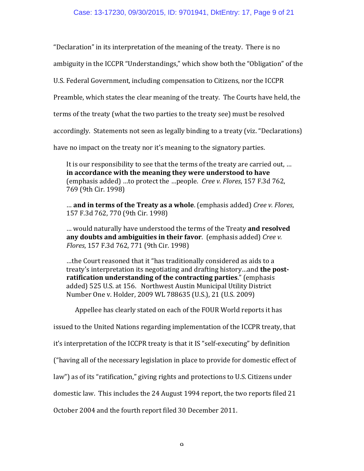"Declaration" in its interpretation of the meaning of the treaty. There is no

ambiguity in the ICCPR "Understandings," which show both the "Obligation" of the

U.S. Federal Government, including compensation to Citizens, nor the ICCPR

Preamble, which states the clear meaning of the treaty. The Courts have held, the

terms of the treaty (what the two parties to the treaty see) must be resolved

accordingly. Statements not seen as legally binding to a treaty (viz. "Declarations)

have no impact on the treaty nor it's meaning to the signatory parties.

It is our responsibility to see that the terms of the treaty are carried out, ... in accordance with the meaning they were understood to have (emphasis added) ...to protect the ...people. *Cree v. Flores*, 157 F.3d 762, 769 (9th Cir. 1998)

... **and in terms of the Treaty as a whole**. (emphasis added) *Cree v. Flores*, 157 F.3d 762, 770 (9th Cir. 1998)

... would naturally have understood the terms of the Treaty **and resolved any doubts and ambiguities in their favor**. (emphasis added) *Cree v. Flores*, 157 F.3d 762, 771 (9th Cir. 1998)

...the Court reasoned that it "has traditionally considered as aids to a treaty's interpretation its negotiating and drafting history...and **the postratification understanding of the contracting parties."** (emphasis added) 525 U.S. at 156. Northwest Austin Municipal Utility District Number One v. Holder, 2009 WL 788635 (U.S.), 21 (U.S. 2009)

Appellee has clearly stated on each of the FOUR World reports it has

issued to the United Nations regarding implementation of the ICCPR treaty, that

it's interpretation of the ICCPR treaty is that it IS "self-executing" by definition

("having all of the necessary legislation in place to provide for domestic effect of

law") as of its "ratification," giving rights and protections to U.S. Citizens under

domestic law. This includes the 24 August 1994 report, the two reports filed 21

October 2004 and the fourth report filed 30 December 2011.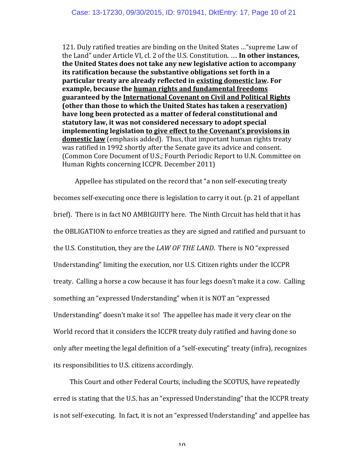121. Duly ratified treaties are binding on the United States ... "supreme Law of the Land" under Article VI, cl. 2 of the U.S. Constitution. .... In other instances, **the United States does not take any new legislative action to accompany its ratification because the substantive obligations set forth in a particular treaty are already reflected in existing domestic law. For example, because the human rights and fundamental freedoms** guaranteed by the **International Covenant on Civil and Political Rights (other than those to which the United States has taken a reservation)** have long been protected as a matter of federal constitutional and statutory law, it was not considered necessary to adopt special **implementing legislation to give effect to the Covenant's provisions in domestic law** (emphasis added). Thus, that important human rights treaty was ratified in 1992 shortly after the Senate gave its advice and consent. (Common Core Document of U.S.; Fourth Periodic Report to U.N. Committee on Human Rights concerning ICCPR. December 2011)

Appellee has stipulated on the record that "a non self-executing treaty becomes self-executing once there is legislation to carry it out. (p. 21 of appellant brief). There is in fact NO AMBIGUITY here. The Ninth Circuit has held that it has the OBLIGATION to enforce treaties as they are signed and ratified and pursuant to the U.S. Constitution, they are the *LAW OF THE LAND*. There is NO "expressed Understanding" limiting the execution, nor U.S. Citizen rights under the ICCPR treaty. Calling a horse a cow because it has four legs doesn't make it a cow. Calling something an "expressed Understanding" when it is NOT an "expressed Understanding" doesn't make it so! The appellee has made it very clear on the World record that it considers the ICCPR treaty duly ratified and having done so only after meeting the legal definition of a "self-executing" treaty (infra), recognizes its responsibilities to U.S. citizens accordingly.

This Court and other Federal Courts, including the SCOTUS, have repeatedly erred is stating that the U.S. has an "expressed Understanding" that the ICCPR treaty is not self-executing. In fact, it is not an "expressed Understanding" and appellee has

1 $\Lambda$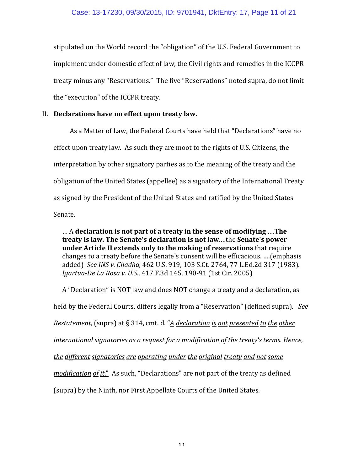stipulated on the World record the "obligation" of the U.S. Federal Government to implement under domestic effect of law, the Civil rights and remedies in the ICCPR treaty minus any "Reservations." The five "Reservations" noted supra, do not limit the "execution" of the ICCPR treaty.

### II. Declarations have no effect upon treaty law.

As a Matter of Law, the Federal Courts have held that "Declarations" have no effect upon treaty law. As such they are moot to the rights of U.S. Citizens, the interpretation by other signatory parties as to the meaning of the treaty and the obligation of the United States (appellee) as a signatory of the International Treaty as signed by the President of the United States and ratified by the United States Senate.

… A **declaration is not part of a treaty in the sense of modifying** ….**The treaty is law. The Senate's declaration is not law....the Senate's power under Article II extends only to the making of reservations** that require changes to a treaty before the Senate's consent will be efficacious. .... (emphasis added) See INS v. Chadha, 462 U.S. 919, 103 S.Ct. 2764, 77 L.Ed.2d 317 (1983). *Igartua-De La Rosa v. U.S.*, 417 F.3d 145, 190-91 (1st Cir. 2005)

A "Declaration" is NOT law and does NOT change a treaty and a declaration, as held by the Federal Courts, differs legally from a "Reservation" (defined supra). See *Restatement,* (supra) at § 314, cmt. d. "*<u>A</u> declaration is not presented to the other international signatories as a request for a modification of the treaty's terms. Hence, the different signatories are operating under the original treaty and not some modification of it.*" As such, "Declarations" are not part of the treaty as defined (supra) by the Ninth, nor First Appellate Courts of the United States.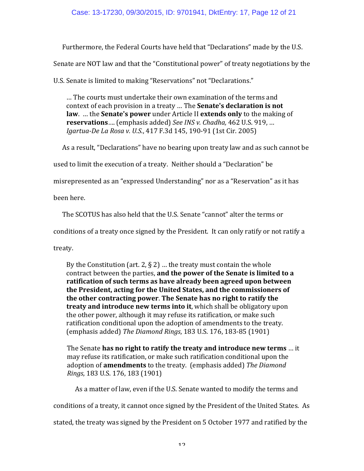Furthermore, the Federal Courts have held that "Declarations" made by the U.S.

Senate are NOT law and that the "Constitutional power" of treaty negotiations by the

U.S. Senate is limited to making "Reservations" not "Declarations."

... The courts must undertake their own examination of the terms and context of each provision in a treaty ... The **Senate's declaration is not law.** ... the **Senate's power** under Article II **extends only** to the making of **reservations**.... (emphasis added) See INS v. Chadha, 462 U.S. 919, ... *Igartua-De La Rosa v. U.S.*, 417 F.3d 145, 190-91 (1st Cir. 2005)

As a result, "Declarations" have no bearing upon treaty law and as such cannot be

used to limit the execution of a treaty. Neither should a "Declaration" be

misrepresented as an "expressed Understanding" nor as a "Reservation" as it has

been here.

The SCOTUS has also held that the U.S. Senate "cannot" alter the terms or

conditions of a treaty once signed by the President. It can only ratify or not ratify a

treaty.

By the Constitution (art. 2,  $\S$  2) ... the treaty must contain the whole contract between the parties, and the power of the Senate is limited to a ratification of such terms as have already been agreed upon between the President, acting for the United States, and the commissioners of **the other contracting power. The Senate has no right to ratify the treaty and introduce new terms into it**, which shall be obligatory upon the other power, although it may refuse its ratification, or make such ratification conditional upon the adoption of amendments to the treaty. (emphasis added) *The Diamond Rings*, 183 U.S. 176, 183-85 (1901)

The Senate **has no right to ratify the treaty and introduce new terms** ... it may refuse its ratification, or make such ratification conditional upon the adoption of **amendments** to the treaty. (emphasis added) The Diamond *Rings*, 183 U.S. 176, 183 (1901)

As a matter of law, even if the U.S. Senate wanted to modify the terms and

conditions of a treaty, it cannot once signed by the President of the United States. As

stated, the treaty was signed by the President on 5 October 1977 and ratified by the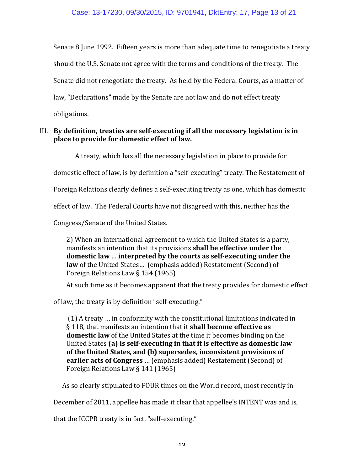Senate  $\theta$  June 1992. Fifteen years is more than adequate time to renegotiate a treaty should the U.S. Senate not agree with the terms and conditions of the treaty. The Senate did not renegotiate the treaty. As held by the Federal Courts, as a matter of law, "Declarations" made by the Senate are not law and do not effect treaty obligations.

## III. By definition, treaties are self-executing if all the necessary legislation is in place to provide for domestic effect of law.

A treaty, which has all the necessary legislation in place to provide for

domestic effect of law, is by definition a "self-executing" treaty. The Restatement of

Foreign Relations clearly defines a self-executing treaty as one, which has domestic

effect of law. The Federal Courts have not disagreed with this, neither has the

Congress/Senate of the United States.

2) When an international agreement to which the United States is a party, manifests an intention that its provisions **shall be effective under the** domestic law ... interpreted by the courts as self-executing under the law of the United States... (emphasis added) Restatement (Second) of Foreign Relations Law  $\S 154 (1965)$ 

At such time as it becomes apparent that the treaty provides for domestic effect

of law, the treaty is by definition "self-executing."

(1) A treaty ... in conformity with the constitutional limitations indicated in § 118, that manifests an intention that it **shall become effective as domestic law** of the United States at the time it becomes binding on the United States (a) is self-executing in that it is effective as domestic law of the United States, and (b) supersedes, inconsistent provisions of **earlier acts of Congress** ... (emphasis added) Restatement (Second) of Foreign Relations Law  $\S$  141 (1965)

As so clearly stipulated to FOUR times on the World record, most recently in

December of 2011, appellee has made it clear that appellee's INTENT was and is,

that the ICCPR treaty is in fact, "self-executing."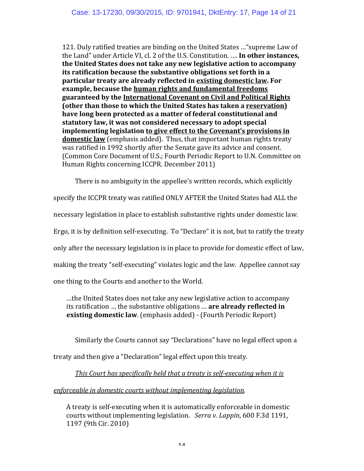121. Duly ratified treaties are binding on the United States ... "supreme Law of the Land" under Article VI, cl. 2 of the U.S. Constitution. .... In other instances, **the United States does not take any new legislative action to accompany its ratification because the substantive obligations set forth in a particular treaty are already reflected in existing domestic law. For example, because the human rights and fundamental freedoms** guaranteed by the **International Covenant on Civil and Political Rights (other than those to which the United States has taken a reservation)** have long been protected as a matter of federal constitutional and statutory law, it was not considered necessary to adopt special **implementing legislation to give effect to the Covenant's provisions in domestic law** (emphasis added). Thus, that important human rights treaty was ratified in 1992 shortly after the Senate gave its advice and consent. (Common Core Document of U.S.; Fourth Periodic Report to U.N. Committee on Human Rights concerning ICCPR. December 2011)

There is no ambiguity in the appellee's written records, which explicitly

specify the ICCPR treaty was ratified ONLY AFTER the United States had ALL the

necessary legislation in place to establish substantive rights under domestic law.

Ergo, it is by definition self-executing. To "Declare" it is not, but to ratify the treaty

only after the necessary legislation is in place to provide for domestic effect of law,

making the treaty "self-executing" violates logic and the law. Appellee cannot say

one thing to the Courts and another to the World.

...the United States does not take any new legislative action to accompany its ratification ... the substantive obligations ... **are already reflected in existing domestic law**. (emphasis added) - (Fourth Periodic Report)

Similarly the Courts cannot say "Declarations" have no legal effect upon a

treaty and then give a "Declaration" legal effect upon this treaty.

*This Court has specifically held that a treaty is self-executing when it is* 

enforceable in domestic courts without *implementing legislation*.

A treaty is self-executing when it is automatically enforceable in domestic courts without implementing legislation. Serra v. Lappin, 600 F.3d 1191, 1197 (9th Cir. 2010)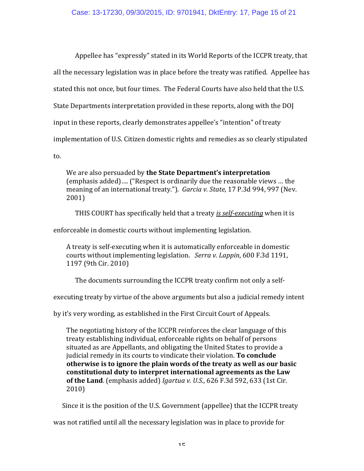Appellee has "expressly" stated in its World Reports of the ICCPR treaty, that all the necessary legislation was in place before the treaty was ratified. Appellee has stated this not once, but four times. The Federal Courts have also held that the U.S. State Departments interpretation provided in these reports, along with the DOJ input in these reports, clearly demonstrates appellee's "intention" of treaty implementation of U.S. Citizen domestic rights and remedies as so clearly stipulated to.

We are also persuaded by **the State Department's interpretation** (emphasis added).... ("Respect is ordinarily due the reasonable views ... the meaning of an international treaty."). *Garcia v. State*, 17 P.3d 994, 997 (Nev. 2001)

THIS COURT has specifically held that a treaty *is self-executing* when it is

enforceable in domestic courts without implementing legislation.

A treaty is self-executing when it is automatically enforceable in domestic courts without implementing legislation. Serra v. Lappin, 600 F.3d 1191, 1197 (9th Cir. 2010)

The documents surrounding the ICCPR treaty confirm not only a self-

executing treaty by virtue of the above arguments but also a judicial remedy intent

by it's very wording, as established in the First Circuit Court of Appeals.

The negotiating history of the ICCPR reinforces the clear language of this treaty establishing individual, enforceable rights on behalf of persons situated as are Appellants, and obligating the United States to provide a judicial remedy in its courts to vindicate their violation. **To conclude** otherwise is to ignore the plain words of the treaty as well as our basic constitutional duty to interpret international agreements as the Law **of the Land**. (emphasis added) *Igartua v. U.S.*, 626 F.3d 592, 633 (1st Cir. 2010)

Since it is the position of the U.S. Government (appellee) that the ICCPR treaty

was not ratified until all the necessary legislation was in place to provide for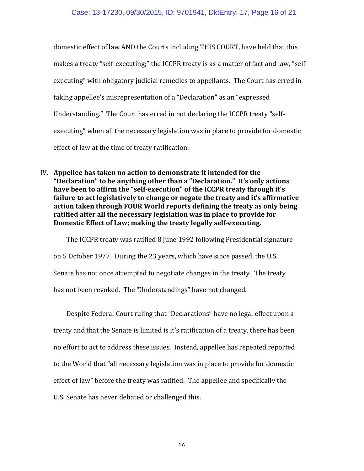domestic effect of law AND the Courts including THIS COURT, have held that this makes a treaty "self-executing;" the ICCPR treaty is as a matter of fact and law, "selfexecuting" with obligatory judicial remedies to appellants. The Court has erred in taking appellee's misrepresentation of a "Declaration" as an "expressed Understanding." The Court has erred in not declaring the ICCPR treaty "selfexecuting" when all the necessary legislation was in place to provide for domestic effect of law at the time of treaty ratification.

IV. Appellee has taken no action to demonstrate it intended for the **"Declaration"** to be anything other than a "Declaration." It's only actions have been to affirm the "self-execution" of the ICCPR treaty through it's failure to act legislatively to change or negate the treaty and it's affirmative action taken through FOUR World reports defining the treaty as only being ratified after all the necessary legislation was in place to provide for Domestic Effect of Law; making the treaty legally self-executing.

The ICCPR treaty was ratified 8 June 1992 following Presidential signature on 5 October 1977. During the 23 years, which have since passed, the U.S. Senate has not once attempted to negotiate changes in the treaty. The treaty has not been revoked. The "Understandings" have not changed.

Despite Federal Court ruling that "Declarations" have no legal effect upon a treaty and that the Senate is limited is it's ratification of a treaty, there has been no effort to act to address these issues. Instead, appellee has repeated reported to the World that "all necessary legislation was in place to provide for domestic effect of law" before the treaty was ratified. The appellee and specifically the U.S. Senate has never debated or challenged this.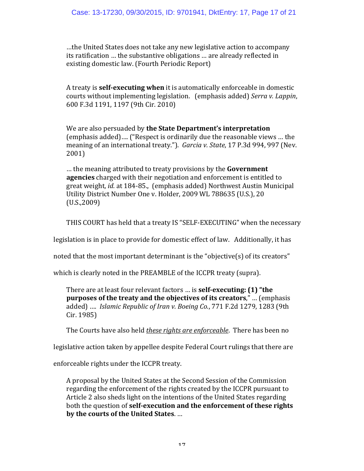$...$  the United States does not take any new legislative action to accompany its ratification ... the substantive obligations ... are already reflected in existing domestic law. (Fourth Periodic Report)

A treaty is **self-executing when** it is automatically enforceable in domestic courts without implementing legislation. (emphasis added) Serra v. Lappin, 600 F.3d 1191, 1197 (9th Cir. 2010)

We are also persuaded by **the State Department's interpretation** (emphasis added).... ("Respect is ordinarily due the reasonable views ... the meaning of an international treaty."). Garcia v. State, 17 P.3d 994, 997 (Nev. 2001)

... the meaning attributed to treaty provisions by the **Government agencies** charged with their negotiation and enforcement is entitled to great weight, *id.* at 184-85., (emphasis added) Northwest Austin Municipal Utility District Number One v. Holder, 2009 WL 788635 (U.S.), 20 (U.S.,2009)

THIS COURT has held that a treaty IS "SELF-EXECUTING" when the necessary

legislation is in place to provide for domestic effect of law. Additionally, it has

noted that the most important determinant is the "objective(s) of its creators"

which is clearly noted in the PREAMBLE of the ICCPR treaty (supra).

There are at least four relevant factors ... is **self-executing:** (1) "the **purposes of the treaty and the objectives of its creators,"** ... (emphasis added) .... *Islamic Republic of Iran v. Boeing Co.*, 771 F.2d 1279, 1283 (9th Cir. 1985)

The Courts have also held *these rights are enforceable*. There has been no

legislative action taken by appellee despite Federal Court rulings that there are

enforceable rights under the ICCPR treaty.

A proposal by the United States at the Second Session of the Commission regarding the enforcement of the rights created by the ICCPR pursuant to Article 2 also sheds light on the intentions of the United States regarding both the question of **self-execution** and the enforcement of these rights by the courts of the United States. ...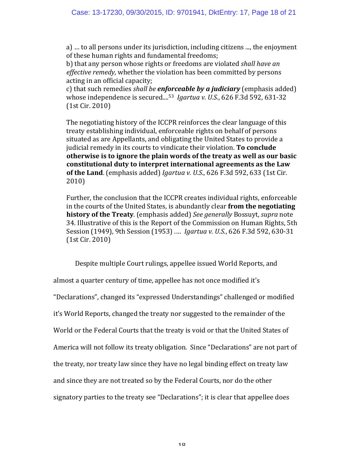a)  $\ldots$  to all persons under its jurisdiction, including citizens  $\ldots$ , the enjoyment of these human rights and fundamental freedoms;

b) that any person whose rights or freedoms are violated *shall have an* effective remedy, whether the violation has been committed by persons acting in an official capacity;

c) that such remedies *shall be enforceable by a judiciary* (emphasis added) whose independence is secured....<sup>53</sup> *Igartua v. U.S.*, 626 F.3d 592, 631-32 (1st Cir. 2010)

The negotiating history of the ICCPR reinforces the clear language of this treaty establishing individual, enforceable rights on behalf of persons situated as are Appellants, and obligating the United States to provide a judicial remedy in its courts to vindicate their violation. **To conclude otherwise is to ignore the plain words of the treaty as well as our basic constitutional duty to interpret international agreements as the Law of the Land**. (emphasis added) *Igartua v. U.S.*, 626 F.3d 592, 633 (1st Cir. 2010)

Further, the conclusion that the ICCPR creates individual rights, enforceable in the courts of the United States, is abundantly clear **from the negotiating history of the Treaty**. (emphasis added) *See generally* Bossuyt, *supra* note 34. Illustrative of this is the Report of the Commission on Human Rights, 5th Session (1949), 9th Session (1953) .... *Igartua v. U.S.*, 626 F.3d 592, 630-31  $(1st Cir. 2010)$ 

Despite multiple Court rulings, appellee issued World Reports, and almost a quarter century of time, appellee has not once modified it's "Declarations", changed its "expressed Understandings" challenged or modified it's World Reports, changed the treaty nor suggested to the remainder of the World or the Federal Courts that the treaty is void or that the United States of America will not follow its treaty obligation. Since "Declarations" are not part of the treaty, nor treaty law since they have no legal binding effect on treaty law and since they are not treated so by the Federal Courts, nor do the other signatory parties to the treaty see "Declarations"; it is clear that appellee does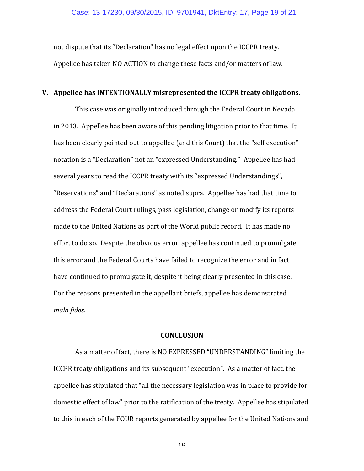not dispute that its "Declaration" has no legal effect upon the ICCPR treaty. Appellee has taken NO ACTION to change these facts and/or matters of law.

## **V.** Appellee has INTENTIONALLY misrepresented the ICCPR treaty obligations.

This case was originally introduced through the Federal Court in Nevada in 2013. Appellee has been aware of this pending litigation prior to that time. It has been clearly pointed out to appellee (and this Court) that the "self execution" notation is a "Declaration" not an "expressed Understanding." Appellee has had several years to read the ICCPR treaty with its "expressed Understandings", "Reservations" and "Declarations" as noted supra. Appellee has had that time to address the Federal Court rulings, pass legislation, change or modify its reports made to the United Nations as part of the World public record. It has made no effort to do so. Despite the obvious error, appellee has continued to promulgate this error and the Federal Courts have failed to recognize the error and in fact have continued to promulgate it, despite it being clearly presented in this case. For the reasons presented in the appellant briefs, appellee has demonstrated *mala fides*.

#### **CONCLUSION**

As a matter of fact, there is NO EXPRESSED "UNDERSTANDING" limiting the ICCPR treaty obligations and its subsequent "execution". As a matter of fact, the appellee has stipulated that "all the necessary legislation was in place to provide for domestic effect of law" prior to the ratification of the treaty. Appellee has stipulated to this in each of the FOUR reports generated by appellee for the United Nations and

1 $\Omega$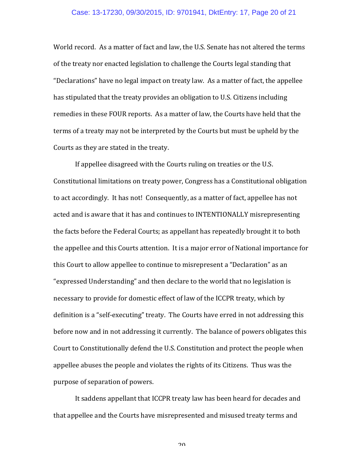#### Case: 13-17230, 09/30/2015, ID: 9701941, DktEntry: 17, Page 20 of 21

World record. As a matter of fact and law, the U.S. Senate has not altered the terms of the treaty nor enacted legislation to challenge the Courts legal standing that "Declarations" have no legal impact on treaty law. As a matter of fact, the appellee has stipulated that the treaty provides an obligation to U.S. Citizens including remedies in these FOUR reports. As a matter of law, the Courts have held that the terms of a treaty may not be interpreted by the Courts but must be upheld by the Courts as they are stated in the treaty.

If appellee disagreed with the Courts ruling on treaties or the U.S. Constitutional limitations on treaty power, Congress has a Constitutional obligation to act accordingly. It has not! Consequently, as a matter of fact, appellee has not acted and is aware that it has and continues to INTENTIONALLY misrepresenting the facts before the Federal Courts; as appellant has repeatedly brought it to both the appellee and this Courts attention. It is a major error of National importance for this Court to allow appellee to continue to misrepresent a "Declaration" as an "expressed Understanding" and then declare to the world that no legislation is necessary to provide for domestic effect of law of the ICCPR treaty, which by definition is a "self-executing" treaty. The Courts have erred in not addressing this before now and in not addressing it currently. The balance of powers obligates this Court to Constitutionally defend the U.S. Constitution and protect the people when appellee abuses the people and violates the rights of its Citizens. Thus was the purpose of separation of powers.

It saddens appellant that ICCPR treaty law has been heard for decades and that appellee and the Courts have misrepresented and misused treaty terms and

 $20$